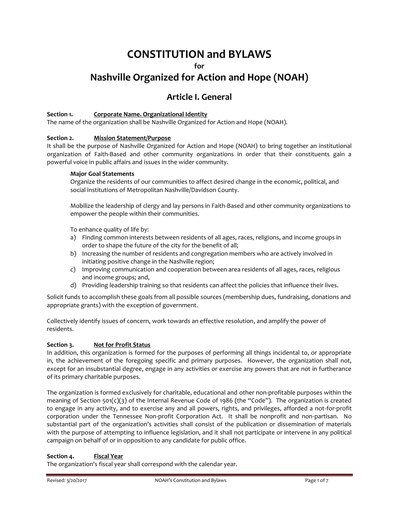# **CONSTITUTION and BYLAWS**

**for** 

# **Nashville Organized for Action and Hope (NOAH)**

## **Article I. General**

### **Section 1. Corporate Name. Organizational Identity**

The name of the organization shall be Nashville Organized for Action and Hope (NOAH).

### **Section 2. Mission Statement/Purpose**

It shall be the purpose of Nashville Organized for Action and Hope (NOAH) to bring together an institutional organization of Faith-Based and other community organizations in order that their constituents gain a powerful voice in public affairs and issues in the wider community.

### **Major Goal Statements**

Organize the residents of our communities to affect desired change in the economic, political, and social institutions of Metropolitan Nashville/Davidson County.

Mobilize the leadership of clergy and lay persons in Faith-Based and other community organizations to empower the people within their communities.

To enhance quality of life by:

- a) Finding common interests between residents of all ages, races, religions, and income groups in order to shape the future of the city for the benefit of all;
- b) Increasing the number of residents and congregation members who are actively involved in initiating positive change in the Nashville region;
- c) Improving communication and cooperation between area residents of all ages, races, religious and income groups; and,
- d) Providing leadership training so that residents can affect the policies that influence their lives.

Solicit funds to accomplish these goals from all possible sources (membership dues, fundraising, donations and appropriate grants) with the exception of government.

Collectively identify issues of concern, work towards an effective resolution, and amplify the power of residents.

### **Section 3. Not for Profit Status**

In addition, this organization is formed for the purposes of performing all things incidental to, or appropriate in, the achievement of the foregoing specific and primary purposes. However, the organization shall not, except for an insubstantial degree, engage in any activities or exercise any powers that are not in furtherance of its primary charitable purposes.

The organization is formed exclusively for charitable, educational and other non-profitable purposes within the meaning of Section 501(c)(3) of the Internal Revenue Code of 1986 (the "Code"). The organization is created to engage in any activity, and to exercise any and all powers, rights, and privileges, afforded a not-for-profit corporation under the Tennessee Non-profit Corporation Act. It shall be nonprofit and non-partisan. No substantial part of the organization's activities shall consist of the publication or dissemination of materials with the purpose of attempting to influence legislation, and it shall not participate or intervene in any political campaign on behalf of or in opposition to any candidate for public office.

### **Section 4. Fiscal Year**

The organization's fiscal year shall correspond with the calendar year.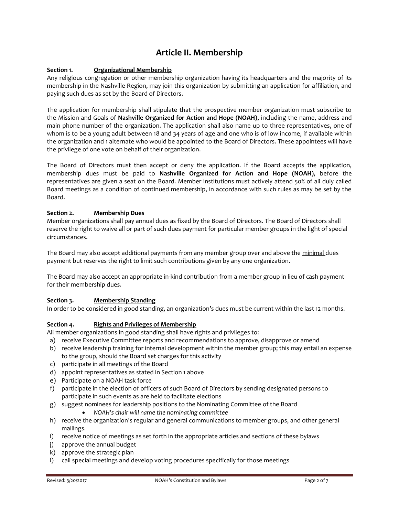# **Article II. Membership**

### **Section 1. Organizational Membership**

Any religious congregation or other membership organization having its headquarters and the majority of its membership in the Nashville Region, may join this organization by submitting an application for affiliation, and paying such dues as set by the Board of Directors.

The application for membership shall stipulate that the prospective member organization must subscribe to the Mission and Goals of **Nashville Organized for Action and Hope (NOAH)**, including the name, address and main phone number of the organization. The application shall also name up to three representatives, one of whom is to be a young adult between 18 and 34 years of age and one who is of low income, if available within the organization and 1 alternate who would be appointed to the Board of Directors. These appointees will have the privilege of one vote on behalf of their organization.

The Board of Directors must then accept or deny the application. If the Board accepts the application, membership dues must be paid to **Nashville Organized for Action and Hope (NOAH)**, before the representatives are given a seat on the Board. Member institutions must actively attend 50% of all duly called Board meetings as a condition of continued membership, in accordance with such rules as may be set by the Board.

### **Section 2. Membership Dues**

Member organizations shall pay annual dues as fixed by the Board of Directors. The Board of Directors shall reserve the right to waive all or part of such dues payment for particular member groups in the light of special circumstances.

The Board may also accept additional payments from any member group over and above the minimal dues payment but reserves the right to limit such contributions given by any one organization.

The Board may also accept an appropriate in-kind contribution from a member group in lieu of cash payment for their membership dues.

### **Section 3. Membership Standing**

In order to be considered in good standing, an organization's dues must be current within the last 12 months.

### **Section 4. Rights and Privileges of Membership**

All member organizations in good standing shall have rights and privileges to:

- a) receive Executive Committee reports and recommendations to approve, disapprove or amend
- b) receive leadership training for internal development within the member group; this may entail an expense to the group, should the Board set charges for this activity
- c) participate in all meetings of the Board
- d) appoint representatives as stated in Section 1 above
- e) Participate on a NOAH task force
- f) participate in the election of officers of such Board of Directors by sending designated persons to participate in such events as are held to facilitate elections
- g) suggest nominees for leadership positions to the Nominating Committee of the Board
	- *NOAH's chair will name the nominating committee*
- h) receive the organization's regular and general communications to member groups, and other general mailings.
- i) receive notice of meetings as set forth in the appropriate articles and sections of these bylaws
- j) approve the annual budget
- k) approve the strategic plan
- l) call special meetings and develop voting procedures specifically for those meetings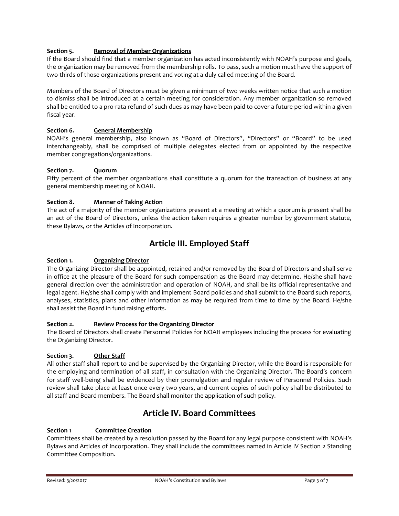### **Section 5. Removal of Member Organizations**

If the Board should find that a member organization has acted inconsistently with NOAH's purpose and goals, the organization may be removed from the membership rolls. To pass, such a motion must have the support of two-thirds of those organizations present and voting at a duly called meeting of the Board.

Members of the Board of Directors must be given a minimum of two weeks written notice that such a motion to dismiss shall be introduced at a certain meeting for consideration. Any member organization so removed shall be entitled to a pro-rata refund of such dues as may have been paid to cover a future period within a given fiscal year.

### **Section 6. General Membership**

NOAH's general membership, also known as "Board of Directors", "Directors" or "Board" to be used interchangeably, shall be comprised of multiple delegates elected from or appointed by the respective member congregations/organizations.

### **Section 7. Quorum**

Fifty percent of the member organizations shall constitute a quorum for the transaction of business at any general membership meeting of NOAH.

### **Section 8. Manner of Taking Action**

The act of a majority of the member organizations present at a meeting at which a quorum is present shall be an act of the Board of Directors, unless the action taken requires a greater number by government statute, these Bylaws, or the Articles of Incorporation.

# **Article III. Employed Staff**

### **Section 1. Organizing Director**

The Organizing Director shall be appointed, retained and/or removed by the Board of Directors and shall serve in office at the pleasure of the Board for such compensation as the Board may determine. He/she shall have general direction over the administration and operation of NOAH, and shall be its official representative and legal agent. He/she shall comply with and implement Board policies and shall submit to the Board such reports, analyses, statistics, plans and other information as may be required from time to time by the Board. He/she shall assist the Board in fund raising efforts.

### **Section 2. Review Process for the Organizing Director**

The Board of Directors shall create Personnel Policies for NOAH employees including the process for evaluating the Organizing Director.

### **Section 3. Other Staff**

All other staff shall report to and be supervised by the Organizing Director, while the Board is responsible for the employing and termination of all staff, in consultation with the Organizing Director. The Board's concern for staff well-being shall be evidenced by their promulgation and regular review of Personnel Policies. Such review shall take place at least once every two years, and current copies of such policy shall be distributed to all staff and Board members. The Board shall monitor the application of such policy.

# **Article IV. Board Committees**

### **Section 1 Committee Creation**

Committees shall be created by a resolution passed by the Board for any legal purpose consistent with NOAH's Bylaws and Articles of Incorporation. They shall include the committees named in Article IV Section 2 Standing Committee Composition.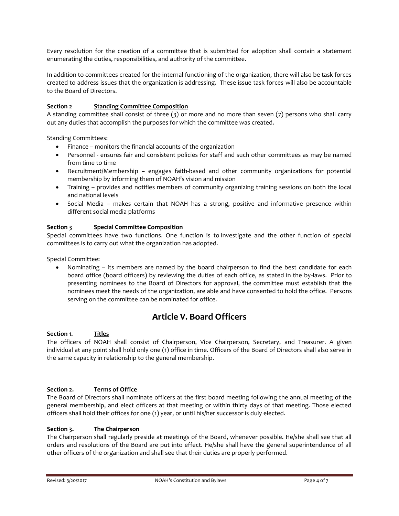Every resolution for the creation of a committee that is submitted for adoption shall contain a statement enumerating the duties, responsibilities, and authority of the committee.

In addition to committees created for the internal functioning of the organization, there will also be task forces created to address issues that the organization is addressing. These issue task forces will also be accountable to the Board of Directors.

### **Section 2 Standing Committee Composition**

A standing committee shall consist of three (3) or more and no more than seven (7) persons who shall carry out any duties that accomplish the purposes for which the committee was created.

Standing Committees:

- Finance monitors the financial accounts of the organization
- Personnel ensures fair and consistent policies for staff and such other committees as may be named from time to time
- Recruitment/Membership engages faith-based and other community organizations for potential membership by informing them of NOAH's vision and mission
- Training provides and notifies members of community organizing training sessions on both the local and national levels
- Social Media makes certain that NOAH has a strong, positive and informative presence within different social media platforms

### **Section 3 Special Committee Composition**

Special committees have two functions. One function is to investigate and the other function of special committees is to carry out what the organization has adopted.

Special Committee:

 Nominating – its members are named by the board chairperson to find the best candidate for each board office (board officers) by reviewing the duties of each office, as stated in the by-laws. Prior to presenting nominees to the Board of Directors for approval, the committee must establish that the nominees meet the needs of the organization, are able and have consented to hold the office. Persons serving on the committee can be nominated for office.

### **Article V. Board Officers**

### **Section 1. Titles**

The officers of NOAH shall consist of Chairperson, Vice Chairperson, Secretary, and Treasurer. A given individual at any point shall hold only one (1) office in time. Officers of the Board of Directors shall also serve in the same capacity in relationship to the general membership.

### **Section 2. Terms of Office**

The Board of Directors shall nominate officers at the first board meeting following the annual meeting of the general membership, and elect officers at that meeting or within thirty days of that meeting. Those elected officers shall hold their offices for one (1) year, or until his/her successor is duly elected.

### **Section 3. The Chairperson**

The Chairperson shall regularly preside at meetings of the Board, whenever possible. He/she shall see that all orders and resolutions of the Board are put into effect. He/she shall have the general superintendence of all other officers of the organization and shall see that their duties are properly performed.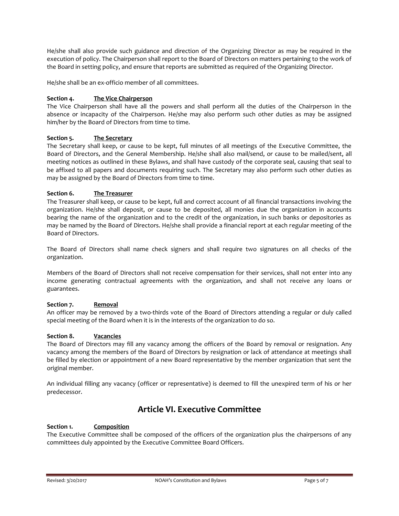He/she shall also provide such guidance and direction of the Organizing Director as may be required in the execution of policy. The Chairperson shall report to the Board of Directors on matters pertaining to the work of the Board in setting policy, and ensure that reports are submitted as required of the Organizing Director.

He/she shall be an ex-officio member of all committees.

### **Section 4. The Vice Chairperson**

The Vice Chairperson shall have all the powers and shall perform all the duties of the Chairperson in the absence or incapacity of the Chairperson. He/she may also perform such other duties as may be assigned him/her by the Board of Directors from time to time.

### **Section 5. The Secretary**

The Secretary shall keep, or cause to be kept, full minutes of all meetings of the Executive Committee, the Board of Directors, and the General Membership. He/she shall also mail/send, or cause to be mailed/sent, all meeting notices as outlined in these Bylaws, and shall have custody of the corporate seal, causing that seal to be affixed to all papers and documents requiring such. The Secretary may also perform such other duties as may be assigned by the Board of Directors from time to time.

### **Section 6. The Treasurer**

The Treasurer shall keep, or cause to be kept, full and correct account of all financial transactions involving the organization. He/she shall deposit, or cause to be deposited, all monies due the organization in accounts bearing the name of the organization and to the credit of the organization, in such banks or depositories as may be named by the Board of Directors. He/she shall provide a financial report at each regular meeting of the Board of Directors.

The Board of Directors shall name check signers and shall require two signatures on all checks of the organization.

Members of the Board of Directors shall not receive compensation for their services, shall not enter into any income generating contractual agreements with the organization, and shall not receive any loans or guarantees.

### **Section 7. Removal**

An officer may be removed by a two-thirds vote of the Board of Directors attending a regular or duly called special meeting of the Board when it is in the interests of the organization to do so.

### **Section 8. Vacancies**

The Board of Directors may fill any vacancy among the officers of the Board by removal or resignation. Any vacancy among the members of the Board of Directors by resignation or lack of attendance at meetings shall be filled by election or appointment of a new Board representative by the member organization that sent the original member.

An individual filling any vacancy (officer or representative) is deemed to fill the unexpired term of his or her predecessor.

## **Article VI. Executive Committee**

### **Section 1. Composition**

The Executive Committee shall be composed of the officers of the organization plus the chairpersons of any committees duly appointed by the Executive Committee Board Officers.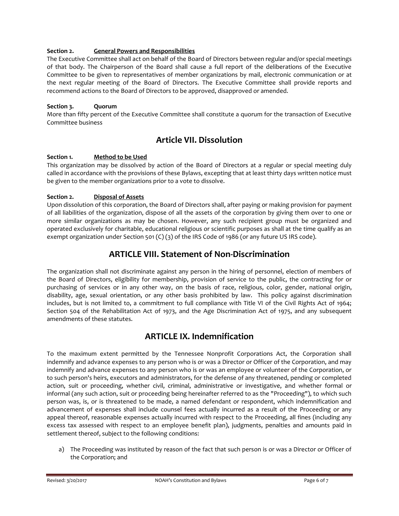### **Section 2. General Powers and Responsibilities**

The Executive Committee shall act on behalf of the Board of Directors between regular and/or special meetings of that body. The Chairperson of the Board shall cause a full report of the deliberations of the Executive Committee to be given to representatives of member organizations by mail, electronic communication or at the next regular meeting of the Board of Directors. The Executive Committee shall provide reports and recommend actions to the Board of Directors to be approved, disapproved or amended.

### **Section 3. Quorum**

More than fifty percent of the Executive Committee shall constitute a quorum for the transaction of Executive Committee business

### **Article VII. Dissolution**

### **Section 1. Method to be Used**

This organization may be dissolved by action of the Board of Directors at a regular or special meeting duly called in accordance with the provisions of these Bylaws, excepting that at least thirty days written notice must be given to the member organizations prior to a vote to dissolve.

### **Section 2. Disposal of Assets**

Upon dissolution of this corporation, the Board of Directors shall, after paying or making provision for payment of all liabilities of the organization, dispose of all the assets of the corporation by giving them over to one or more similar organizations as may be chosen. However, any such recipient group must be organized and operated exclusively for charitable, educational religious or scientific purposes as shall at the time qualify as an exempt organization under Section 501 (C) (3) of the IRS Code of 1986 (or any future US IRS code).

### **ARTICLE VIII. Statement of Non-Discrimination**

The organization shall not discriminate against any person in the hiring of personnel, election of members of the Board of Directors, eligibility for membership, provision of service to the public, the contracting for or purchasing of services or in any other way, on the basis of race, religious, color, gender, national origin, disability, age, sexual orientation, or any other basis prohibited by law. This policy against discrimination includes, but is not limited to, a commitment to full compliance with Title VI of the Civil Rights Act of 1964; Section 504 of the Rehabilitation Act of 1973, and the Age Discrimination Act of 1975, and any subsequent amendments of these statutes.

### **ARTICLE IX. Indemnification**

To the maximum extent permitted by the Tennessee Nonprofit Corporations Act, the Corporation shall indemnify and advance expenses to any person who is or was a Director or Officer of the Corporation, and may indemnify and advance expenses to any person who is or was an employee or volunteer of the Corporation, or to such person's heirs, executors and administrators, for the defense of any threatened, pending or completed action, suit or proceeding, whether civil, criminal, administrative or investigative, and whether formal or informal (any such action, suit or proceeding being hereinafter referred to as the "Proceeding"), to which such person was, is, or is threatened to be made, a named defendant or respondent, which indemnification and advancement of expenses shall include counsel fees actually incurred as a result of the Proceeding or any appeal thereof, reasonable expenses actually incurred with respect to the Proceeding, all fines (including any excess tax assessed with respect to an employee benefit plan), judgments, penalties and amounts paid in settlement thereof, subject to the following conditions:

a) The Proceeding was instituted by reason of the fact that such person is or was a Director or Officer of the Corporation; and